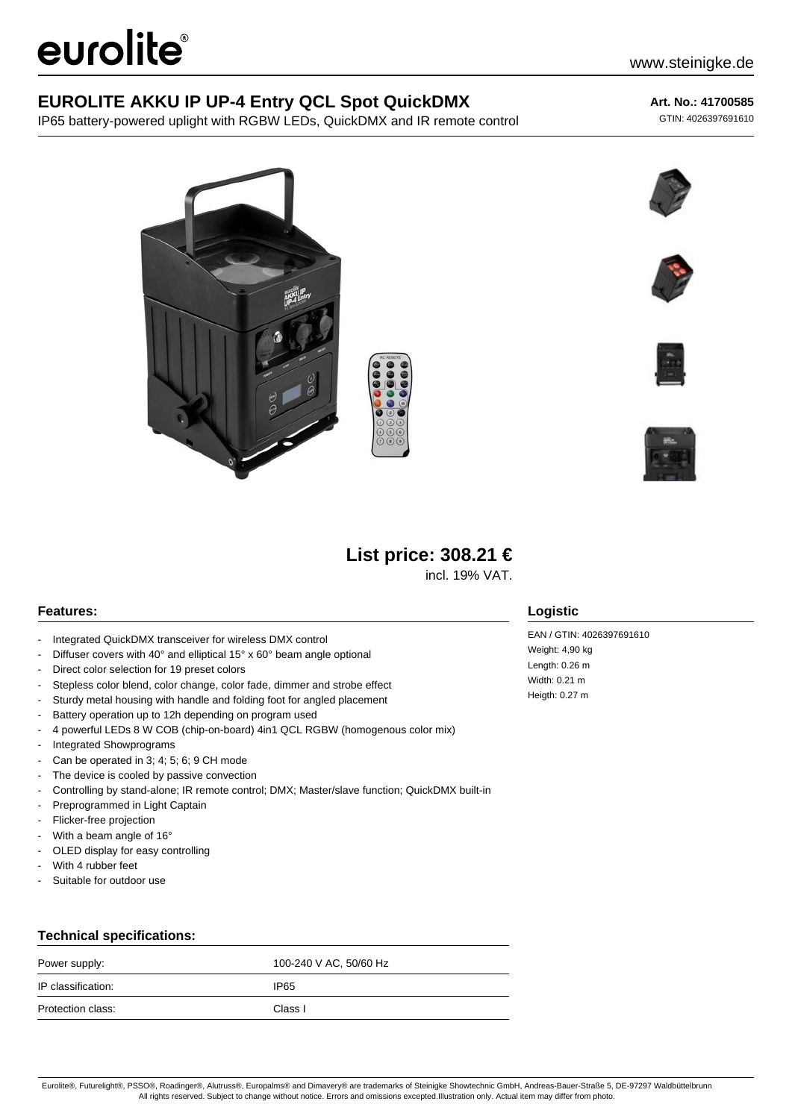# eurolite®

## **EUROLITE AKKU IP UP-4 Entry QCL Spot QuickDMX**

IP65 battery-powered uplight with RGBW LEDs, QuickDMX and IR remote control

## **Art. No.: 41700585**

GTIN: 4026397691610











# **List price: 308.21 €**

incl. 19% VAT.

## **Features:**

- Integrated QuickDMX transceiver for wireless DMX control
- Diffuser covers with 40° and elliptical 15° x 60° beam angle optional
- Direct color selection for 19 preset colors
- Stepless color blend, color change, color fade, dimmer and strobe effect
- Sturdy metal housing with handle and folding foot for angled placement
- Battery operation up to 12h depending on program used
- 4 powerful LEDs 8 W COB (chip-on-board) 4in1 QCL RGBW (homogenous color mix)
- Integrated Showprograms
- Can be operated in 3; 4; 5; 6; 9 CH mode
- The device is cooled by passive convection
- Controlling by stand-alone; IR remote control; DMX; Master/slave function; QuickDMX built-in
- Preprogrammed in Light Captain
- Flicker-free projection
- With a beam angle of 16°
- OLED display for easy controlling
- With 4 rubber feet
- Suitable for outdoor use

## **Technical specifications:**

| Power supply:      | 100-240 V AC, 50/60 Hz |
|--------------------|------------------------|
| IP classification: | IP65                   |
| Protection class:  | Class I                |

## **Logistic**

EAN / GTIN: 4026397691610 Weight: 4,90 kg Length: 0.26 m Width: 0.21 m Heigth: 0.27 m

Eurolite®, Futurelight®, PSSO®, Roadinger®, Alutruss®, Europalms® and Dimavery® are trademarks of Steinigke Showtechnic GmbH, Andreas-Bauer-Straße 5, DE-97297 Waldbüttelbrunn All rights reserved. Subject to change without notice. Errors and omissions excepted.Illustration only. Actual item may differ from photo.